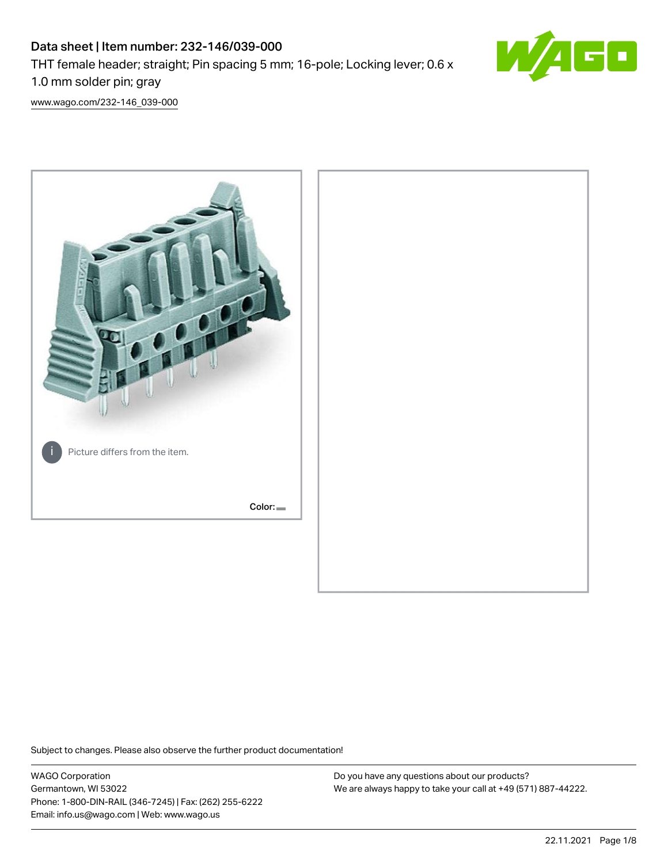# Data sheet | Item number: 232-146/039-000 THT female header; straight; Pin spacing 5 mm; 16-pole; Locking lever; 0.6 x 1.0 mm solder pin; gray



[www.wago.com/232-146\\_039-000](http://www.wago.com/232-146_039-000)



Subject to changes. Please also observe the further product documentation!

WAGO Corporation Germantown, WI 53022 Phone: 1-800-DIN-RAIL (346-7245) | Fax: (262) 255-6222 Email: info.us@wago.com | Web: www.wago.us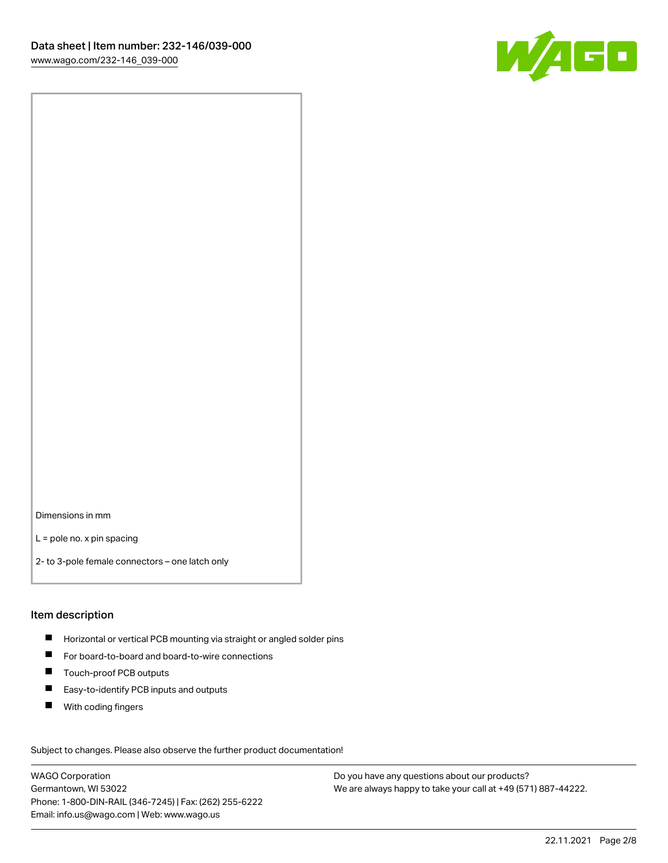

Dimensions in mm

L = pole no. x pin spacing

2- to 3-pole female connectors – one latch only

#### Item description

- **H** Horizontal or vertical PCB mounting via straight or angled solder pins
- For board-to-board and board-to-wire connections
- Touch-proof PCB outputs  $\blacksquare$
- $\blacksquare$ Easy-to-identify PCB inputs and outputs
- $\blacksquare$ With coding fingers

Subject to changes. Please also observe the further product documentation! Data

WAGO Corporation Germantown, WI 53022 Phone: 1-800-DIN-RAIL (346-7245) | Fax: (262) 255-6222 Email: info.us@wago.com | Web: www.wago.us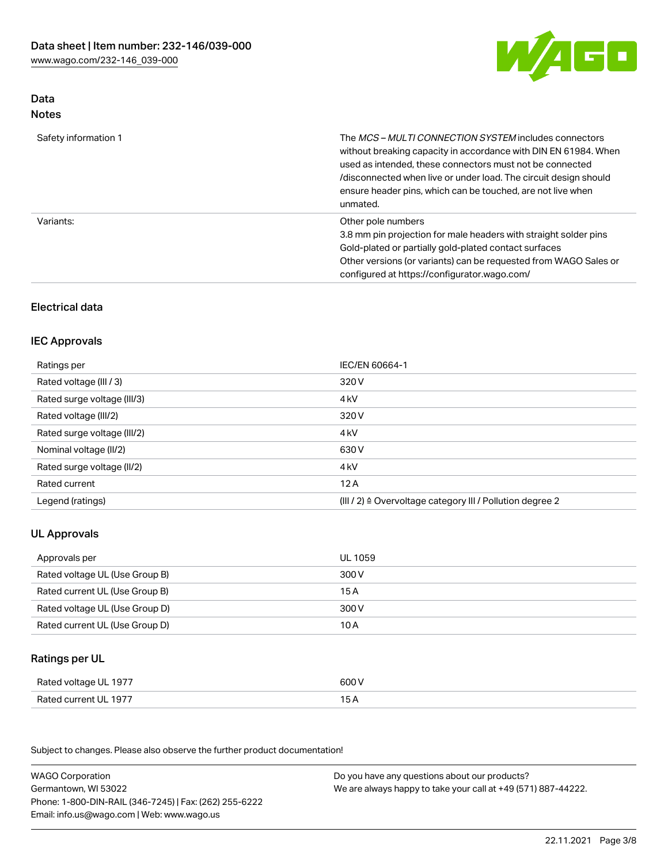

# Data Notes

| Safety information 1 | The MCS-MULTI CONNECTION SYSTEM includes connectors<br>without breaking capacity in accordance with DIN EN 61984. When<br>used as intended, these connectors must not be connected<br>/disconnected when live or under load. The circuit design should<br>ensure header pins, which can be touched, are not live when<br>unmated. |
|----------------------|-----------------------------------------------------------------------------------------------------------------------------------------------------------------------------------------------------------------------------------------------------------------------------------------------------------------------------------|
| Variants:            | Other pole numbers<br>3.8 mm pin projection for male headers with straight solder pins<br>Gold-plated or partially gold-plated contact surfaces<br>Other versions (or variants) can be requested from WAGO Sales or<br>configured at https://configurator.wago.com/                                                               |

# Electrical data

### IEC Approvals

| Ratings per                 | IEC/EN 60664-1                                                        |
|-----------------------------|-----------------------------------------------------------------------|
| Rated voltage (III / 3)     | 320 V                                                                 |
| Rated surge voltage (III/3) | 4 <sub>k</sub> V                                                      |
| Rated voltage (III/2)       | 320 V                                                                 |
| Rated surge voltage (III/2) | 4 <sub>k</sub> V                                                      |
| Nominal voltage (II/2)      | 630 V                                                                 |
| Rated surge voltage (II/2)  | 4 <sub>k</sub> V                                                      |
| Rated current               | 12A                                                                   |
| Legend (ratings)            | $(III / 2)$ $\triangle$ Overvoltage category III / Pollution degree 2 |

# UL Approvals

| Approvals per                  | UL 1059 |
|--------------------------------|---------|
| Rated voltage UL (Use Group B) | 300 V   |
| Rated current UL (Use Group B) | 15 A    |
| Rated voltage UL (Use Group D) | 300 V   |
| Rated current UL (Use Group D) | 10 A    |

# Ratings per UL

| Rated voltage UL 1977 | 600 V |
|-----------------------|-------|
| Rated current UL 1977 |       |

Subject to changes. Please also observe the further product documentation!

| <b>WAGO Corporation</b>                                | Do you have any questions about our products?                 |
|--------------------------------------------------------|---------------------------------------------------------------|
| Germantown, WI 53022                                   | We are always happy to take your call at +49 (571) 887-44222. |
| Phone: 1-800-DIN-RAIL (346-7245)   Fax: (262) 255-6222 |                                                               |
| Email: info.us@wago.com   Web: www.wago.us             |                                                               |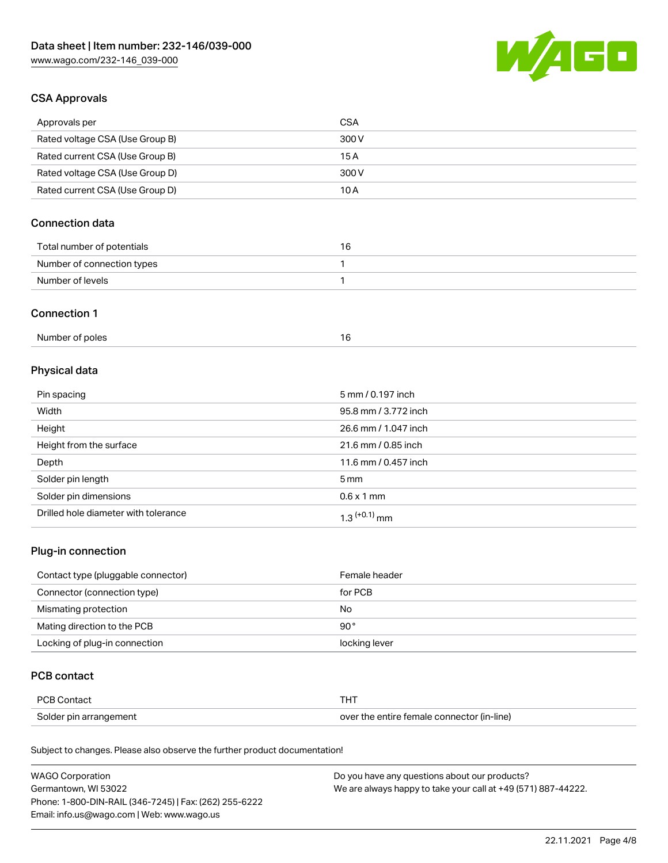

# CSA Approvals

| Approvals per                   | CSA   |
|---------------------------------|-------|
| Rated voltage CSA (Use Group B) | 300 V |
| Rated current CSA (Use Group B) | 15 A  |
| Rated voltage CSA (Use Group D) | 300 V |
| Rated current CSA (Use Group D) | 10 A  |

# Connection data

| Total number of potentials | 16 |
|----------------------------|----|
| Number of connection types |    |
| Number of levels           |    |

#### Connection 1

| Number of poles |  |
|-----------------|--|
|                 |  |

# Physical data

| Pin spacing                          | 5 mm / 0.197 inch    |
|--------------------------------------|----------------------|
| Width                                | 95.8 mm / 3.772 inch |
| Height                               | 26.6 mm / 1.047 inch |
| Height from the surface              | 21.6 mm / 0.85 inch  |
| Depth                                | 11.6 mm / 0.457 inch |
| Solder pin length                    | $5 \,\mathrm{mm}$    |
| Solder pin dimensions                | $0.6 \times 1$ mm    |
| Drilled hole diameter with tolerance | $1.3$ $(+0.1)$ mm    |

# Plug-in connection

| Contact type (pluggable connector) | Female header |
|------------------------------------|---------------|
| Connector (connection type)        | for PCB       |
| Mismating protection               | No            |
| Mating direction to the PCB        | $90^{\circ}$  |
| Locking of plug-in connection      | locking lever |

# PCB contact

| PCB Contact            |                                            |
|------------------------|--------------------------------------------|
| Solder pin arrangement | over the entire female connector (in-line) |

Subject to changes. Please also observe the further product documentation!

| <b>WAGO Corporation</b>                                | Do you have any questions about our products?                 |
|--------------------------------------------------------|---------------------------------------------------------------|
| Germantown, WI 53022                                   | We are always happy to take your call at +49 (571) 887-44222. |
| Phone: 1-800-DIN-RAIL (346-7245)   Fax: (262) 255-6222 |                                                               |
| Email: info.us@wago.com   Web: www.wago.us             |                                                               |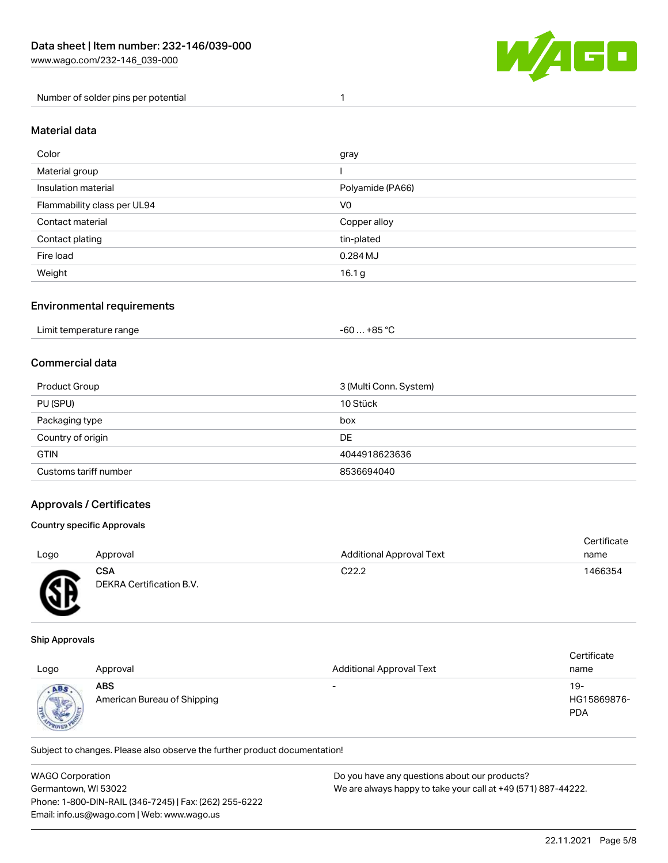

Number of solder pins per potential 1

### Material data

| Color                       | gray              |
|-----------------------------|-------------------|
| Material group              |                   |
| Insulation material         | Polyamide (PA66)  |
| Flammability class per UL94 | V <sub>0</sub>    |
| Contact material            | Copper alloy      |
| Contact plating             | tin-plated        |
| Fire load                   | 0.284 MJ          |
| Weight                      | 16.1 <sub>g</sub> |

### Environmental requirements

### Commercial data

| Product Group         | 3 (Multi Conn. System) |
|-----------------------|------------------------|
| PU (SPU)              | 10 Stück               |
| Packaging type        | box                    |
| Country of origin     | DE                     |
| <b>GTIN</b>           | 4044918623636          |
| Customs tariff number | 8536694040             |

### Approvals / Certificates

### Country specific Approvals

| Logo      | Approval                                      | <b>Additional Approval Text</b> | Certificate<br>name |
|-----------|-----------------------------------------------|---------------------------------|---------------------|
| <b>AR</b> | <b>CSA</b><br><b>DEKRA Certification B.V.</b> | C <sub>22.2</sub>               | 1466354             |

#### Ship Approvals

ЧJ

| Logo                         | Approval                                  | <b>Additional Approval Text</b> | Certificate<br>name              |
|------------------------------|-------------------------------------------|---------------------------------|----------------------------------|
| ABS<br><b>Sight</b><br>R0151 | <b>ABS</b><br>American Bureau of Shipping | $\overline{\phantom{0}}$        | 19-<br>HG15869876-<br><b>PDA</b> |

Subject to changes. Please also observe the further product documentation!

| <b>WAGO Corporation</b>                                | Do you have any questions about our products?                 |
|--------------------------------------------------------|---------------------------------------------------------------|
| Germantown, WI 53022                                   | We are always happy to take your call at +49 (571) 887-44222. |
| Phone: 1-800-DIN-RAIL (346-7245)   Fax: (262) 255-6222 |                                                               |
| Email: info.us@wago.com   Web: www.wago.us             |                                                               |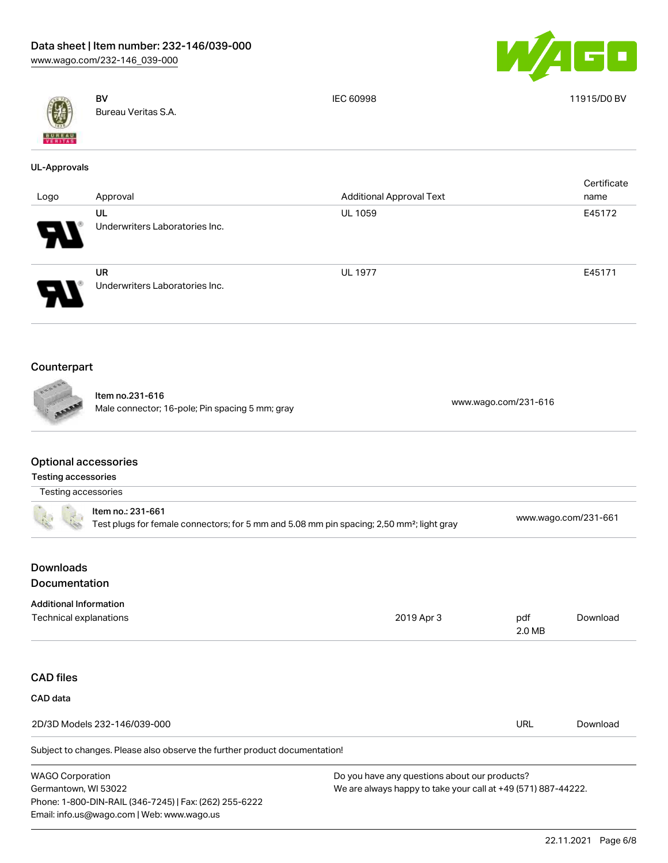Phone: 1-800-DIN-RAIL (346-7245) | Fax: (262) 255-6222

Email: info.us@wago.com | Web: www.wago.us



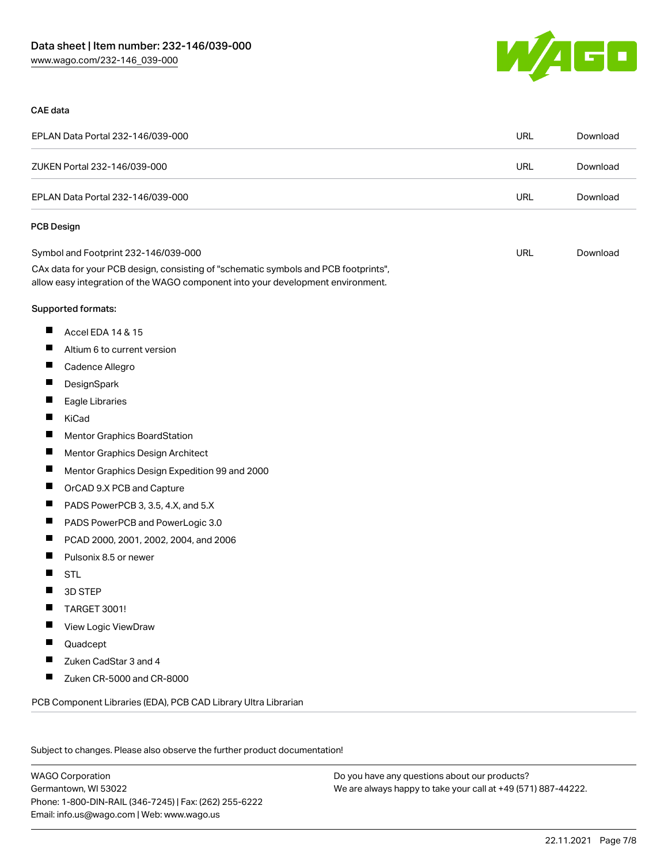

#### CAE data

| EPLAN Data Portal 232-146/039-000                                                                                                                                      | <b>URL</b> | Download |
|------------------------------------------------------------------------------------------------------------------------------------------------------------------------|------------|----------|
| ZUKEN Portal 232-146/039-000                                                                                                                                           | <b>URL</b> | Download |
| EPLAN Data Portal 232-146/039-000                                                                                                                                      | <b>URL</b> | Download |
| <b>PCB Design</b>                                                                                                                                                      |            |          |
| Symbol and Footprint 232-146/039-000                                                                                                                                   | URL        | Download |
| CAx data for your PCB design, consisting of "schematic symbols and PCB footprints",<br>allow easy integration of the WAGO component into your development environment. |            |          |
| Supported formats:                                                                                                                                                     |            |          |
| ш<br>Accel EDA 14 & 15                                                                                                                                                 |            |          |
| ш<br>Altium 6 to current version                                                                                                                                       |            |          |
| П<br>Cadence Allegro                                                                                                                                                   |            |          |
| Ц<br>DesignSpark                                                                                                                                                       |            |          |
| ш<br>Eagle Libraries                                                                                                                                                   |            |          |
| Ш<br>KiCad                                                                                                                                                             |            |          |
| ш<br>Mentor Graphics BoardStation                                                                                                                                      |            |          |
| ш<br>Mentor Graphics Design Architect                                                                                                                                  |            |          |
| ш<br>Mentor Graphics Design Expedition 99 and 2000                                                                                                                     |            |          |
| ш<br>OrCAD 9.X PCB and Capture                                                                                                                                         |            |          |
| Ш<br>PADS PowerPCB 3, 3.5, 4.X, and 5.X                                                                                                                                |            |          |
| П<br>PADS PowerPCB and PowerLogic 3.0                                                                                                                                  |            |          |
| ш<br>PCAD 2000, 2001, 2002, 2004, and 2006                                                                                                                             |            |          |
| ш<br>Pulsonix 8.5 or newer                                                                                                                                             |            |          |
| ш<br><b>STL</b>                                                                                                                                                        |            |          |
| 3D STEP                                                                                                                                                                |            |          |
| TARGET 3001!                                                                                                                                                           |            |          |
| View Logic ViewDraw                                                                                                                                                    |            |          |
| Quadcept                                                                                                                                                               |            |          |
| Zuken CadStar 3 and 4                                                                                                                                                  |            |          |
| Zuken CR-5000 and CR-8000                                                                                                                                              |            |          |
| PCB Component Libraries (EDA), PCB CAD Library Ultra Librarian                                                                                                         |            |          |

Subject to changes. Please also observe the further product documentation!

WAGO Corporation Germantown, WI 53022 Phone: 1-800-DIN-RAIL (346-7245) | Fax: (262) 255-6222 Email: info.us@wago.com | Web: www.wago.us